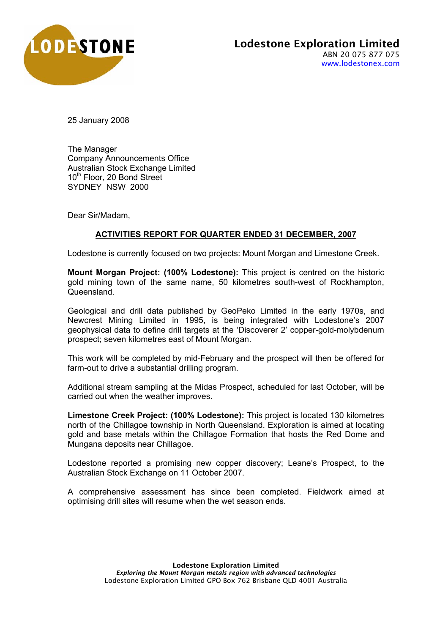

25 January 2008

The Manager Company Announcements Office Australian Stock Exchange Limited 10<sup>th</sup> Floor, 20 Bond Street SYDNEY NSW 2000

Dear Sir/Madam,

## **ACTIVITIES REPORT FOR QUARTER ENDED 31 DECEMBER, 2007**

Lodestone is currently focused on two projects: Mount Morgan and Limestone Creek.

**Mount Morgan Project: (100% Lodestone):** This project is centred on the historic gold mining town of the same name, 50 kilometres south-west of Rockhampton, Queensland.

Geological and drill data published by GeoPeko Limited in the early 1970s, and Newcrest Mining Limited in 1995, is being integrated with Lodestone's 2007 geophysical data to define drill targets at the 'Discoverer 2' copper-gold-molybdenum prospect; seven kilometres east of Mount Morgan.

This work will be completed by mid-February and the prospect will then be offered for farm-out to drive a substantial drilling program.

Additional stream sampling at the Midas Prospect, scheduled for last October, will be carried out when the weather improves.

**Limestone Creek Project: (100% Lodestone):** This project is located 130 kilometres north of the Chillagoe township in North Queensland. Exploration is aimed at locating gold and base metals within the Chillagoe Formation that hosts the Red Dome and Mungana deposits near Chillagoe.

Lodestone reported a promising new copper discovery; Leane's Prospect, to the Australian Stock Exchange on 11 October 2007.

A comprehensive assessment has since been completed. Fieldwork aimed at optimising drill sites will resume when the wet season ends.